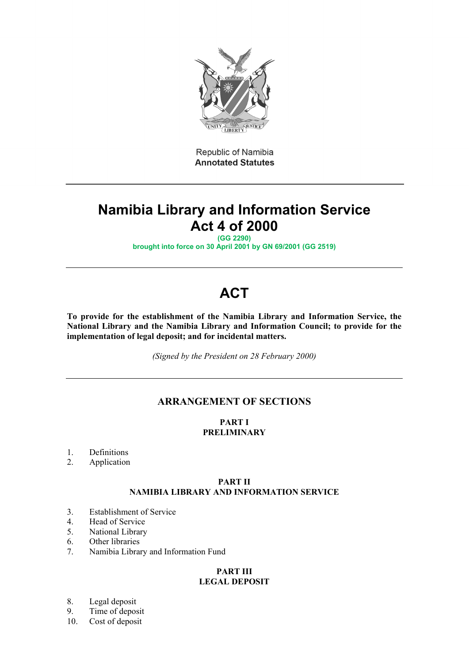

Republic of Namibia **Annotated Statutes** 

## **Namibia Library and Information Service Act 4 of 2000**

**(GG 2290) brought into force on 30 April 2001 by GN 69/2001 (GG 2519)**

# **ACT**

**To provide for the establishment of the Namibia Library and Information Service, the National Library and the Namibia Library and Information Council; to provide for the implementation of legal deposit; and for incidental matters.**

*(Signed by the President on 28 February 2000)*

### **ARRANGEMENT OF SECTIONS**

#### **PART I PRELIMINARY**

1. Definitions

2. Application

#### **PART II NAMIBIA LIBRARY AND INFORMATION SERVICE**

- 3. Establishment of Service
- 4. Head of Service
- 5. National Library
- 6. Other libraries
- 7. Namibia Library and Information Fund

#### **PART III LEGAL DEPOSIT**

- 8. Legal deposit
- 9. Time of deposit
- 10. Cost of deposit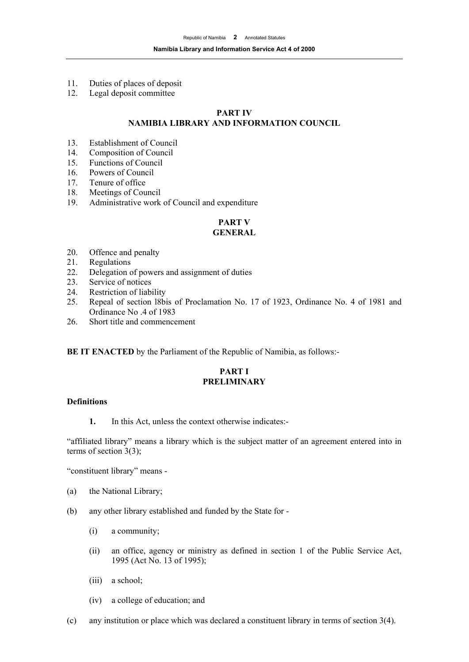- 11. Duties of places of deposit
- 12. Legal deposit committee

#### **PART IV NAMIBIA LIBRARY AND INFORMATION COUNCIL**

- 13. Establishment of Council
- 14. Composition of Council
- 15. Functions of Council
- 16. Powers of Council
- 17. Tenure of office
- 18. Meetings of Council
- 19. Administrative work of Council and expenditure

## **PART V**

#### **GENERAL**

- 20. Offence and penalty
- 21. Regulations
- 22. Delegation of powers and assignment of duties
- 23. Service of notices
- 24. Restriction of liability
- 25. Repeal of section l8bis of Proclamation No. 17 of 1923, Ordinance No. 4 of 1981 and Ordinance No .4 of 1983
- 26. Short title and commencement

**BE IT ENACTED** by the Parliament of the Republic of Namibia, as follows:-

#### **PART I PRELIMINARY**

#### **Definitions**

**1.** In this Act, unless the context otherwise indicates:-

"affiliated library" means a library which is the subject matter of an agreement entered into in terms of section 3(3);

"constituent library" means -

- (a) the National Library;
- (b) any other library established and funded by the State for
	- (i) a community;
	- (ii) an office, agency or ministry as defined in section 1 of the Public Service Act, 1995 (Act No. 13 of 1995);
	- (iii) a school;
	- (iv) a college of education; and
- (c) any institution or place which was declared a constituent library in terms of section 3(4).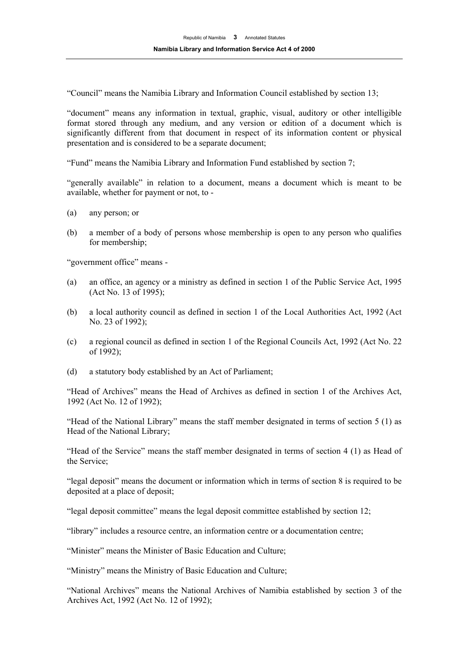"Council" means the Namibia Library and Information Council established by section 13;

"document" means any information in textual, graphic, visual, auditory or other intelligible format stored through any medium, and any version or edition of a document which is significantly different from that document in respect of its information content or physical presentation and is considered to be a separate document;

"Fund" means the Namibia Library and Information Fund established by section 7;

"generally available" in relation to a document, means a document which is meant to be available, whether for payment or not, to -

- (a) any person; or
- (b) a member of a body of persons whose membership is open to any person who qualifies for membership;

"government office" means -

- (a) an office, an agency or a ministry as defined in section 1 of the Public Service Act, 1995 (Act No. 13 of 1995);
- (b) a local authority council as defined in section 1 of the Local Authorities Act, 1992 (Act No. 23 of 1992);
- (c) a regional council as defined in section 1 of the Regional Councils Act, 1992 (Act No. 22 of 1992);
- (d) a statutory body established by an Act of Parliament;

"Head of Archives" means the Head of Archives as defined in section 1 of the Archives Act, 1992 (Act No. 12 of 1992);

"Head of the National Library" means the staff member designated in terms of section 5 (1) as Head of the National Library;

"Head of the Service" means the staff member designated in terms of section 4 (1) as Head of the Service;

"legal deposit" means the document or information which in terms of section 8 is required to be deposited at a place of deposit;

"legal deposit committee" means the legal deposit committee established by section 12;

"library" includes a resource centre, an information centre or a documentation centre;

"Minister" means the Minister of Basic Education and Culture;

"Ministry" means the Ministry of Basic Education and Culture;

"National Archives" means the National Archives of Namibia established by section 3 of the Archives Act, 1992 (Act No. 12 of 1992);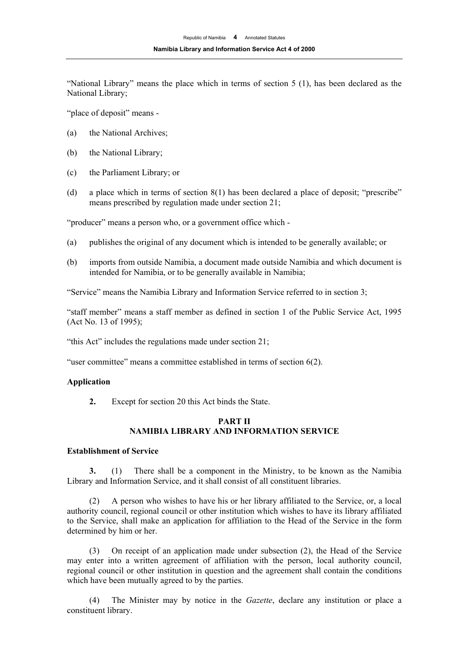"National Library" means the place which in terms of section 5 (1), has been declared as the National Library;

"place of deposit" means -

- (a) the National Archives;
- (b) the National Library;
- (c) the Parliament Library; or
- (d) a place which in terms of section 8(1) has been declared a place of deposit; "prescribe" means prescribed by regulation made under section 21;

"producer" means a person who, or a government office which -

- (a) publishes the original of any document which is intended to be generally available; or
- (b) imports from outside Namibia, a document made outside Namibia and which document is intended for Namibia, or to be generally available in Namibia;

"Service" means the Namibia Library and Information Service referred to in section 3;

"staff member" means a staff member as defined in section 1 of the Public Service Act, 1995 (Act No. 13 of 1995);

"this Act" includes the regulations made under section 21;

"user committee" means a committee established in terms of section 6(2).

#### **Application**

**2.** Except for section 20 this Act binds the State.

#### **PART II NAMIBIA LIBRARY AND INFORMATION SERVICE**

#### **Establishment of Service**

**3.** (1) There shall be a component in the Ministry, to be known as the Namibia Library and Information Service, and it shall consist of all constituent libraries.

(2) A person who wishes to have his or her library affiliated to the Service, or, a local authority council, regional council or other institution which wishes to have its library affiliated to the Service, shall make an application for affiliation to the Head of the Service in the form determined by him or her.

(3) On receipt of an application made under subsection (2), the Head of the Service may enter into a written agreement of affiliation with the person, local authority council, regional council or other institution in question and the agreement shall contain the conditions which have been mutually agreed to by the parties.

(4) The Minister may by notice in the *Gazette*, declare any institution or place a constituent library.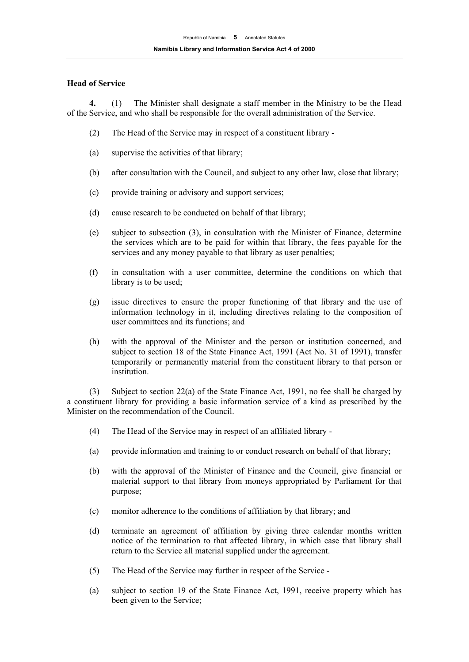#### **Head of Service**

**4.** (1) The Minister shall designate a staff member in the Ministry to be the Head of the Service, and who shall be responsible for the overall administration of the Service.

- (2) The Head of the Service may in respect of a constituent library -
- (a) supervise the activities of that library;
- (b) after consultation with the Council, and subject to any other law, close that library;
- (c) provide training or advisory and support services;
- (d) cause research to be conducted on behalf of that library;
- (e) subject to subsection (3), in consultation with the Minister of Finance, determine the services which are to be paid for within that library, the fees payable for the services and any money payable to that library as user penalties;
- (f) in consultation with a user committee, determine the conditions on which that library is to be used;
- (g) issue directives to ensure the proper functioning of that library and the use of information technology in it, including directives relating to the composition of user committees and its functions; and
- (h) with the approval of the Minister and the person or institution concerned, and subject to section 18 of the State Finance Act, 1991 (Act No. 31 of 1991), transfer temporarily or permanently material from the constituent library to that person or institution.

(3) Subject to section 22(a) of the State Finance Act, 1991, no fee shall be charged by a constituent library for providing a basic information service of a kind as prescribed by the Minister on the recommendation of the Council.

- (4) The Head of the Service may in respect of an affiliated library -
- (a) provide information and training to or conduct research on behalf of that library;
- (b) with the approval of the Minister of Finance and the Council, give financial or material support to that library from moneys appropriated by Parliament for that purpose;
- (c) monitor adherence to the conditions of affiliation by that library; and
- (d) terminate an agreement of affiliation by giving three calendar months written notice of the termination to that affected library, in which case that library shall return to the Service all material supplied under the agreement.
- (5) The Head of the Service may further in respect of the Service -
- (a) subject to section 19 of the State Finance Act, 1991, receive property which has been given to the Service;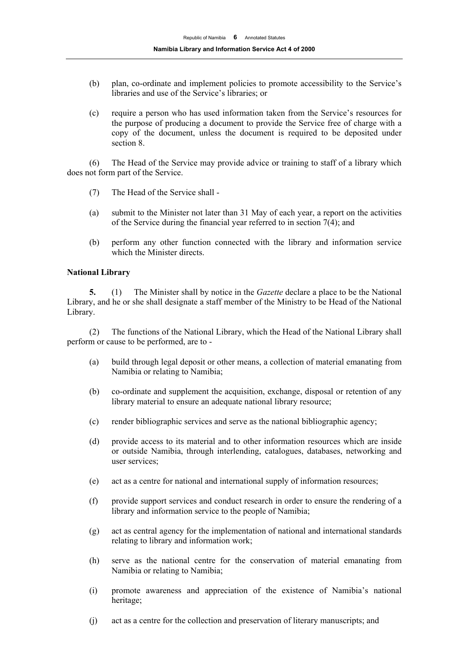- (b) plan, co-ordinate and implement policies to promote accessibility to the Service's libraries and use of the Service's libraries; or
- (c) require a person who has used information taken from the Service's resources for the purpose of producing a document to provide the Service free of charge with a copy of the document, unless the document is required to be deposited under section 8.

(6) The Head of the Service may provide advice or training to staff of a library which does not form part of the Service.

- (7) The Head of the Service shall -
- (a) submit to the Minister not later than 31 May of each year, a report on the activities of the Service during the financial year referred to in section  $7(4)$ ; and
- (b) perform any other function connected with the library and information service which the Minister directs.

#### **National Library**

**5.** (1) The Minister shall by notice in the *Gazette* declare a place to be the National Library, and he or she shall designate a staff member of the Ministry to be Head of the National Library.

(2) The functions of the National Library, which the Head of the National Library shall perform or cause to be performed, are to -

- (a) build through legal deposit or other means, a collection of material emanating from Namibia or relating to Namibia;
- (b) co-ordinate and supplement the acquisition, exchange, disposal or retention of any library material to ensure an adequate national library resource;
- (c) render bibliographic services and serve as the national bibliographic agency;
- (d) provide access to its material and to other information resources which are inside or outside Namibia, through interlending, catalogues, databases, networking and user services;
- (e) act as a centre for national and international supply of information resources;
- (f) provide support services and conduct research in order to ensure the rendering of a library and information service to the people of Namibia;
- (g) act as central agency for the implementation of national and international standards relating to library and information work;
- (h) serve as the national centre for the conservation of material emanating from Namibia or relating to Namibia;
- (i) promote awareness and appreciation of the existence of Namibia's national heritage;
- (j) act as a centre for the collection and preservation of literary manuscripts; and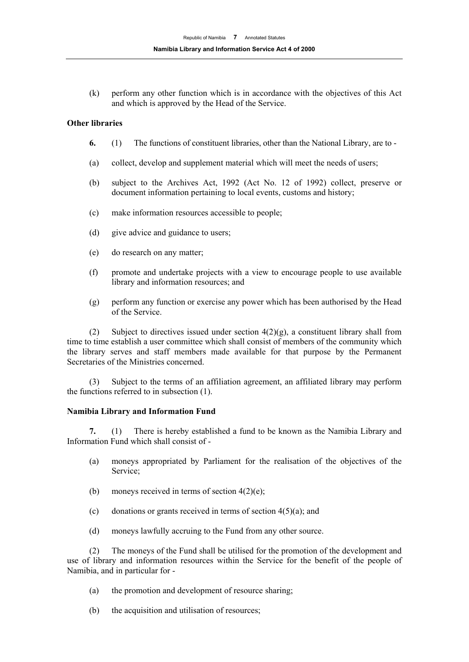(k) perform any other function which is in accordance with the objectives of this Act and which is approved by the Head of the Service.

#### **Other libraries**

- **6.** (1) The functions of constituent libraries, other than the National Library, are to -
- (a) collect, develop and supplement material which will meet the needs of users;
- (b) subject to the Archives Act, 1992 (Act No. 12 of 1992) collect, preserve or document information pertaining to local events, customs and history;
- (c) make information resources accessible to people;
- (d) give advice and guidance to users;
- (e) do research on any matter;
- (f) promote and undertake projects with a view to encourage people to use available library and information resources; and
- (g) perform any function or exercise any power which has been authorised by the Head of the Service.

(2) Subject to directives issued under section  $4(2)(g)$ , a constituent library shall from time to time establish a user committee which shall consist of members of the community which the library serves and staff members made available for that purpose by the Permanent Secretaries of the Ministries concerned.

(3) Subject to the terms of an affiliation agreement, an affiliated library may perform the functions referred to in subsection (1).

#### **Namibia Library and Information Fund**

**7.** (1) There is hereby established a fund to be known as the Namibia Library and Information Fund which shall consist of -

- (a) moneys appropriated by Parliament for the realisation of the objectives of the Service;
- (b) moneys received in terms of section  $4(2)(e)$ ;
- (c) donations or grants received in terms of section  $4(5)(a)$ ; and
- (d) moneys lawfully accruing to the Fund from any other source.

(2) The moneys of the Fund shall be utilised for the promotion of the development and use of library and information resources within the Service for the benefit of the people of Namibia, and in particular for -

- (a) the promotion and development of resource sharing;
- (b) the acquisition and utilisation of resources;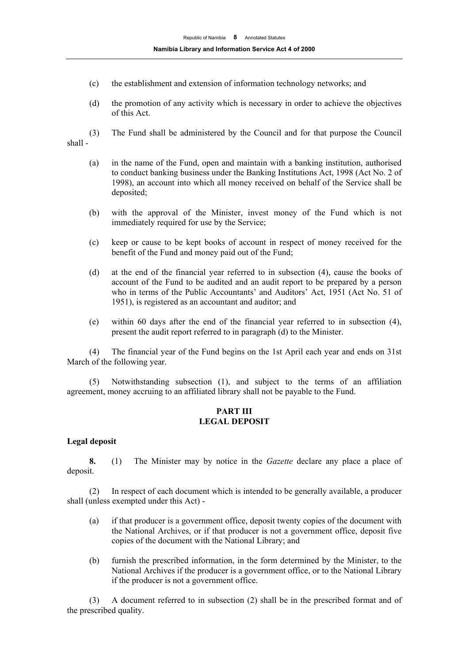- (c) the establishment and extension of information technology networks; and
- (d) the promotion of any activity which is necessary in order to achieve the objectives of this Act.
- (3) The Fund shall be administered by the Council and for that purpose the Council shall -
	- (a) in the name of the Fund, open and maintain with a banking institution, authorised to conduct banking business under the Banking Institutions Act, 1998 (Act No. 2 of 1998), an account into which all money received on behalf of the Service shall be deposited;
	- (b) with the approval of the Minister, invest money of the Fund which is not immediately required for use by the Service;
	- (c) keep or cause to be kept books of account in respect of money received for the benefit of the Fund and money paid out of the Fund;
	- (d) at the end of the financial year referred to in subsection (4), cause the books of account of the Fund to be audited and an audit report to be prepared by a person who in terms of the Public Accountants' and Auditors' Act, 1951 (Act No. 51 of 1951), is registered as an accountant and auditor; and
	- (e) within 60 days after the end of the financial year referred to in subsection (4), present the audit report referred to in paragraph (d) to the Minister.

(4) The financial year of the Fund begins on the 1st April each year and ends on 31st March of the following year.

(5) Notwithstanding subsection (1), and subject to the terms of an affiliation agreement, money accruing to an affiliated library shall not be payable to the Fund.

#### **PART III LEGAL DEPOSIT**

#### **Legal deposit**

**8.** (1) The Minister may by notice in the *Gazette* declare any place a place of deposit.

(2) In respect of each document which is intended to be generally available, a producer shall (unless exempted under this Act) -

- (a) if that producer is a government office, deposit twenty copies of the document with the National Archives, or if that producer is not a government office, deposit five copies of the document with the National Library; and
- (b) furnish the prescribed information, in the form determined by the Minister, to the National Archives if the producer is a government office, or to the National Library if the producer is not a government office.

(3) A document referred to in subsection (2) shall be in the prescribed format and of the prescribed quality.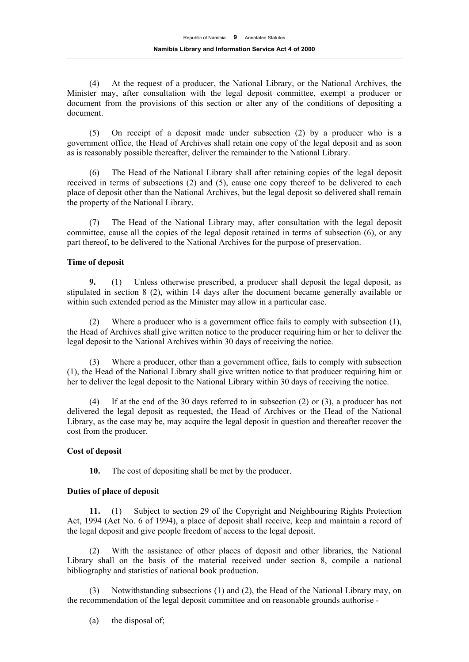(4) At the request of a producer, the National Library, or the National Archives, the Minister may, after consultation with the legal deposit committee, exempt a producer or document from the provisions of this section or alter any of the conditions of depositing a document.

(5) On receipt of a deposit made under subsection (2) by a producer who is a government office, the Head of Archives shall retain one copy of the legal deposit and as soon as is reasonably possible thereafter, deliver the remainder to the National Library.

(6) The Head of the National Library shall after retaining copies of the legal deposit received in terms of subsections (2) and (5), cause one copy thereof to be delivered to each place of deposit other than the National Archives, but the legal deposit so delivered shall remain the property of the National Library.

(7) The Head of the National Library may, after consultation with the legal deposit committee, cause all the copies of the legal deposit retained in terms of subsection (6), or any part thereof, to be delivered to the National Archives for the purpose of preservation.

#### **Time of deposit**

**9.** (1) Unless otherwise prescribed, a producer shall deposit the legal deposit, as stipulated in section 8 (2), within 14 days after the document became generally available or within such extended period as the Minister may allow in a particular case.

(2) Where a producer who is a government office fails to comply with subsection (1), the Head of Archives shall give written notice to the producer requiring him or her to deliver the legal deposit to the National Archives within 30 days of receiving the notice.

(3) Where a producer, other than a government office, fails to comply with subsection (1), the Head of the National Library shall give written notice to that producer requiring him or her to deliver the legal deposit to the National Library within 30 days of receiving the notice.

If at the end of the 30 days referred to in subsection  $(2)$  or  $(3)$ , a producer has not delivered the legal deposit as requested, the Head of Archives or the Head of the National Library, as the case may be, may acquire the legal deposit in question and thereafter recover the cost from the producer.

#### **Cost of deposit**

**10.** The cost of depositing shall be met by the producer.

#### **Duties of place of deposit**

**11.** (1) Subject to section 29 of the Copyright and Neighbouring Rights Protection Act, 1994 (Act No. 6 of 1994), a place of deposit shall receive, keep and maintain a record of the legal deposit and give people freedom of access to the legal deposit.

(2) With the assistance of other places of deposit and other libraries, the National Library shall on the basis of the material received under section 8, compile a national bibliography and statistics of national book production.

(3) Notwithstanding subsections (1) and (2), the Head of the National Library may, on the recommendation of the legal deposit committee and on reasonable grounds authorise -

(a) the disposal of;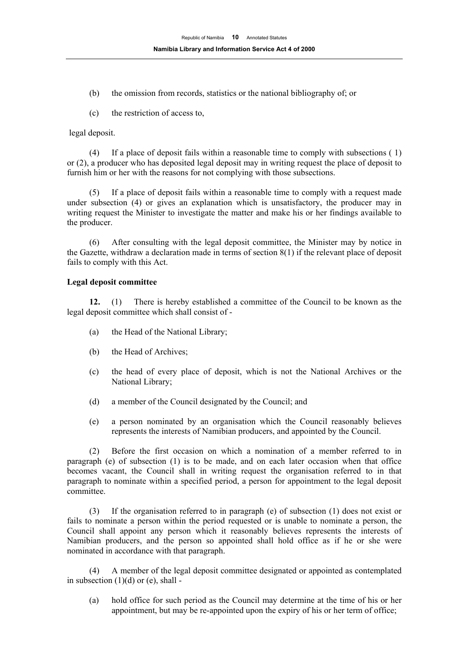- (b) the omission from records, statistics or the national bibliography of; or
- (c) the restriction of access to,

legal deposit.

(4) If a place of deposit fails within a reasonable time to comply with subsections ( 1) or (2), a producer who has deposited legal deposit may in writing request the place of deposit to furnish him or her with the reasons for not complying with those subsections.

(5) If a place of deposit fails within a reasonable time to comply with a request made under subsection (4) or gives an explanation which is unsatisfactory, the producer may in writing request the Minister to investigate the matter and make his or her findings available to the producer.

(6) After consulting with the legal deposit committee, the Minister may by notice in the Gazette, withdraw a declaration made in terms of section 8(1) if the relevant place of deposit fails to comply with this Act.

#### **Legal deposit committee**

**12.** (1) There is hereby established a committee of the Council to be known as the legal deposit committee which shall consist of -

- (a) the Head of the National Library;
- (b) the Head of Archives;
- (c) the head of every place of deposit, which is not the National Archives or the National Library;
- (d) a member of the Council designated by the Council; and
- (e) a person nominated by an organisation which the Council reasonably believes represents the interests of Namibian producers, and appointed by the Council.

(2) Before the first occasion on which a nomination of a member referred to in paragraph (e) of subsection (1) is to be made, and on each later occasion when that office becomes vacant, the Council shall in writing request the organisation referred to in that paragraph to nominate within a specified period, a person for appointment to the legal deposit committee.

(3) If the organisation referred to in paragraph (e) of subsection (1) does not exist or fails to nominate a person within the period requested or is unable to nominate a person, the Council shall appoint any person which it reasonably believes represents the interests of Namibian producers, and the person so appointed shall hold office as if he or she were nominated in accordance with that paragraph.

(4) A member of the legal deposit committee designated or appointed as contemplated in subsection  $(1)(d)$  or  $(e)$ , shall -

(a) hold office for such period as the Council may determine at the time of his or her appointment, but may be re-appointed upon the expiry of his or her term of office;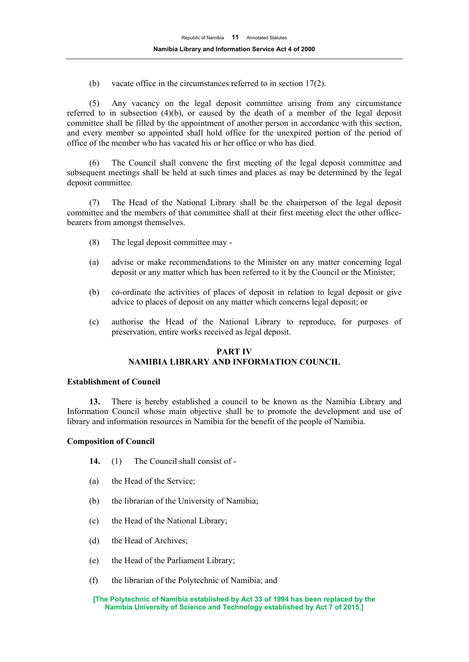(b) vacate office in the circumstances referred to in section 17(2).

(5) Any vacancy on the legal deposit committee arising from any circumstance referred to in subsection (4)(b), or caused by the death of a member of the legal deposit committee shall be filled by the appointment of another person in accordance with this section, and every member so appointed shall hold office for the unexpired portion of the period of office of the member who has vacated his or her office or who has died.

(6) The Council shall convene the first meeting of the legal deposit committee and subsequent meetings shall be held at such times and places as may be determined by the legal deposit committee.

(7) The Head of the National Library shall be the chairperson of the legal deposit committee and the members of that committee shall at their first meeting elect the other officebearers from amongst themselves.

- (8) The legal deposit committee may -
- (a) advise or make recommendations to the Minister on any matter concerning legal deposit or any matter which has been referred to it by the Council or the Minister;
- (b) co-ordinate the activities of places of deposit in relation to legal deposit or give advice to places of deposit on any matter which concerns legal deposit; or
- (c) authorise the Head of the National Library to reproduce, for purposes of preservation, entire works received as legal deposit.

#### **PART IV NAMIBIA LIBRARY AND INFORMATION COUNCIL**

#### **Establishment of Council**

**13.** There is hereby established a council to be known as the Namibia Library and Information Council whose main objective shall be to promote the development and use of library and information resources in Namibia for the benefit of the people of Namibia.

#### **Composition of Council**

- **14.** (1) The Council shall consist of -
- (a) the Head of the Service;
- (b) the librarian of the University of Namibia;
- (c) the Head of the National Library;
- (d) the Head of Archives;
- (e) the Head of the Parliament Library;
- (f) the librarian of the Polytechnic of Namibia; and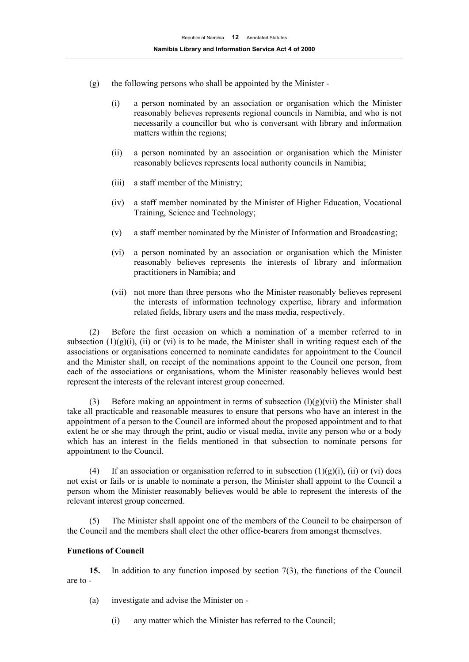- $(g)$  the following persons who shall be appointed by the Minister -
	- (i) a person nominated by an association or organisation which the Minister reasonably believes represents regional councils in Namibia, and who is not necessarily a councillor but who is conversant with library and information matters within the regions;
	- (ii) a person nominated by an association or organisation which the Minister reasonably believes represents local authority councils in Namibia;
	- (iii) a staff member of the Ministry;
	- (iv) a staff member nominated by the Minister of Higher Education, Vocational Training, Science and Technology;
	- (v) a staff member nominated by the Minister of Information and Broadcasting;
	- (vi) a person nominated by an association or organisation which the Minister reasonably believes represents the interests of library and information practitioners in Namibia; and
	- (vii) not more than three persons who the Minister reasonably believes represent the interests of information technology expertise, library and information related fields, library users and the mass media, respectively.

(2) Before the first occasion on which a nomination of a member referred to in subsection  $(1)(g)(i)$ , (ii) or (vi) is to be made, the Minister shall in writing request each of the associations or organisations concerned to nominate candidates for appointment to the Council and the Minister shall, on receipt of the nominations appoint to the Council one person, from each of the associations or organisations, whom the Minister reasonably believes would best represent the interests of the relevant interest group concerned.

(3) Before making an appointment in terms of subsection  $(1)(g)(vii)$  the Minister shall take all practicable and reasonable measures to ensure that persons who have an interest in the appointment of a person to the Council are informed about the proposed appointment and to that extent he or she may through the print, audio or visual media, invite any person who or a body which has an interest in the fields mentioned in that subsection to nominate persons for appointment to the Council.

(4) If an association or organisation referred to in subsection  $(1)(g)(i)$ , (ii) or (vi) does not exist or fails or is unable to nominate a person, the Minister shall appoint to the Council a person whom the Minister reasonably believes would be able to represent the interests of the relevant interest group concerned.

(5) The Minister shall appoint one of the members of the Council to be chairperson of the Council and the members shall elect the other office-bearers from amongst themselves.

#### **Functions of Council**

**15.** In addition to any function imposed by section 7(3), the functions of the Council are to -

(a) investigate and advise the Minister on -

(i) any matter which the Minister has referred to the Council;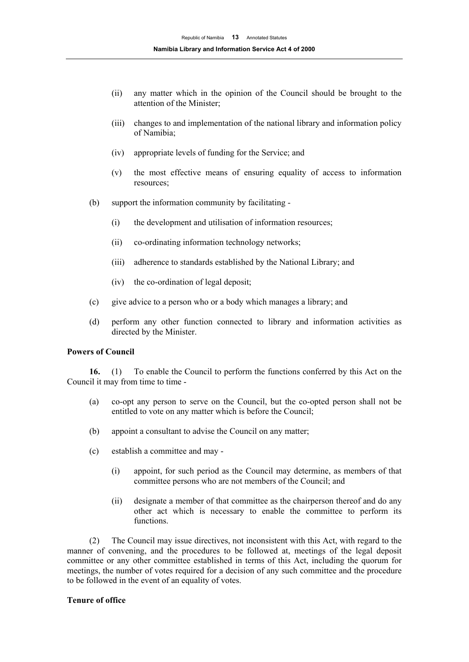- (ii) any matter which in the opinion of the Council should be brought to the attention of the Minister;
- (iii) changes to and implementation of the national library and information policy of Namibia;
- (iv) appropriate levels of funding for the Service; and
- (v) the most effective means of ensuring equality of access to information resources;
- (b) support the information community by facilitating
	- (i) the development and utilisation of information resources;
	- (ii) co-ordinating information technology networks;
	- (iii) adherence to standards established by the National Library; and
	- (iv) the co-ordination of legal deposit;
- (c) give advice to a person who or a body which manages a library; and
- (d) perform any other function connected to library and information activities as directed by the Minister.

#### **Powers of Council**

**16.** (1) To enable the Council to perform the functions conferred by this Act on the Council it may from time to time -

- (a) co-opt any person to serve on the Council, but the co-opted person shall not be entitled to vote on any matter which is before the Council;
- (b) appoint a consultant to advise the Council on any matter;
- (c) establish a committee and may
	- (i) appoint, for such period as the Council may determine, as members of that committee persons who are not members of the Council; and
	- (ii) designate a member of that committee as the chairperson thereof and do any other act which is necessary to enable the committee to perform its functions.

(2) The Council may issue directives, not inconsistent with this Act, with regard to the manner of convening, and the procedures to be followed at, meetings of the legal deposit committee or any other committee established in terms of this Act, including the quorum for meetings, the number of votes required for a decision of any such committee and the procedure to be followed in the event of an equality of votes.

#### **Tenure of office**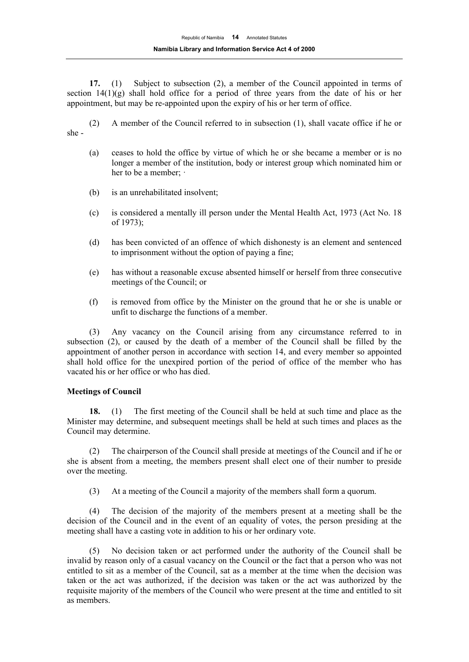**17.** (1) Subject to subsection (2), a member of the Council appointed in terms of section  $14(1)(g)$  shall hold office for a period of three years from the date of his or her appointment, but may be re-appointed upon the expiry of his or her term of office.

(2) A member of the Council referred to in subsection (1), shall vacate office if he or she -

- (a) ceases to hold the office by virtue of which he or she became a member or is no longer a member of the institution, body or interest group which nominated him or her to be a member:  $\cdot$
- (b) is an unrehabilitated insolvent;
- (c) is considered a mentally ill person under the Mental Health Act, 1973 (Act No. 18 of 1973);
- (d) has been convicted of an offence of which dishonesty is an element and sentenced to imprisonment without the option of paying a fine;
- (e) has without a reasonable excuse absented himself or herself from three consecutive meetings of the Council; or
- (f) is removed from office by the Minister on the ground that he or she is unable or unfit to discharge the functions of a member.

(3) Any vacancy on the Council arising from any circumstance referred to in subsection (2), or caused by the death of a member of the Council shall be filled by the appointment of another person in accordance with section 14, and every member so appointed shall hold office for the unexpired portion of the period of office of the member who has vacated his or her office or who has died.

#### **Meetings of Council**

**18.** (1) The first meeting of the Council shall be held at such time and place as the Minister may determine, and subsequent meetings shall be held at such times and places as the Council may determine.

(2) The chairperson of the Council shall preside at meetings of the Council and if he or she is absent from a meeting, the members present shall elect one of their number to preside over the meeting.

(3) At a meeting of the Council a majority of the members shall form a quorum.

(4) The decision of the majority of the members present at a meeting shall be the decision of the Council and in the event of an equality of votes, the person presiding at the meeting shall have a casting vote in addition to his or her ordinary vote.

(5) No decision taken or act performed under the authority of the Council shall be invalid by reason only of a casual vacancy on the Council or the fact that a person who was not entitled to sit as a member of the Council, sat as a member at the time when the decision was taken or the act was authorized, if the decision was taken or the act was authorized by the requisite majority of the members of the Council who were present at the time and entitled to sit as members.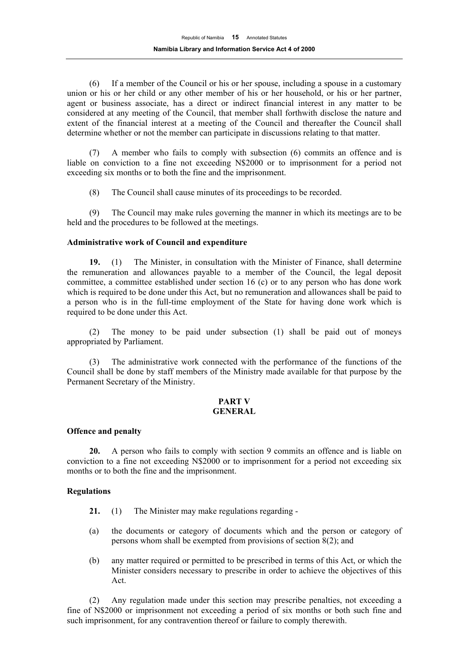(6) If a member of the Council or his or her spouse, including a spouse in a customary union or his or her child or any other member of his or her household, or his or her partner, agent or business associate, has a direct or indirect financial interest in any matter to be considered at any meeting of the Council, that member shall forthwith disclose the nature and extent of the financial interest at a meeting of the Council and thereafter the Council shall determine whether or not the member can participate in discussions relating to that matter.

(7) A member who fails to comply with subsection (6) commits an offence and is liable on conviction to a fine not exceeding N\$2000 or to imprisonment for a period not exceeding six months or to both the fine and the imprisonment.

(8) The Council shall cause minutes of its proceedings to be recorded.

(9) The Council may make rules governing the manner in which its meetings are to be held and the procedures to be followed at the meetings.

#### **Administrative work of Council and expenditure**

**19.** (1) The Minister, in consultation with the Minister of Finance, shall determine the remuneration and allowances payable to a member of the Council, the legal deposit committee, a committee established under section 16 (c) or to any person who has done work which is required to be done under this Act, but no remuneration and allowances shall be paid to a person who is in the full-time employment of the State for having done work which is required to be done under this Act.

(2) The money to be paid under subsection (1) shall be paid out of moneys appropriated by Parliament.

(3) The administrative work connected with the performance of the functions of the Council shall be done by staff members of the Ministry made available for that purpose by the Permanent Secretary of the Ministry.

#### **PART V GENERAL**

#### **Offence and penalty**

**20.** A person who fails to comply with section 9 commits an offence and is liable on conviction to a fine not exceeding N\$2000 or to imprisonment for a period not exceeding six months or to both the fine and the imprisonment.

#### **Regulations**

- **21.** (1) The Minister may make regulations regarding -
- (a) the documents or category of documents which and the person or category of persons whom shall be exempted from provisions of section  $8(2)$ ; and
- (b) any matter required or permitted to be prescribed in terms of this Act, or which the Minister considers necessary to prescribe in order to achieve the objectives of this Act.

(2) Any regulation made under this section may prescribe penalties, not exceeding a fine of N\$2000 or imprisonment not exceeding a period of six months or both such fine and such imprisonment, for any contravention thereof or failure to comply therewith.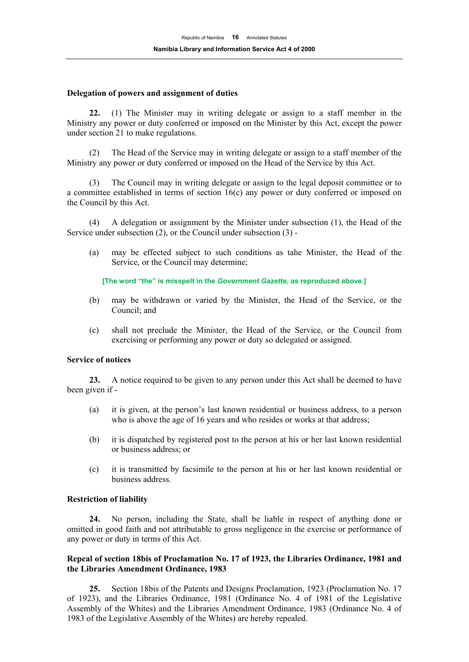#### **Delegation of powers and assignment of duties**

**22.** (1) The Minister may in writing delegate or assign to a staff member in the Ministry any power or duty conferred or imposed on the Minister by this Act, except the power under section 21 to make regulations.

(2) The Head of the Service may in writing delegate or assign to a staff member of the Ministry any power or duty conferred or imposed on the Head of the Service by this Act.

(3) The Council may in writing delegate or assign to the legal deposit committee or to a committee established in terms of section 16(c) any power or duty conferred or imposed on the Council by this Act.

(4) A delegation or assignment by the Minister under subsection (1), the Head of the Service under subsection (2), or the Council under subsection (3) -

(a) may be effected subject to such conditions as tahe Minister, the Head of the Service, or the Council may determine;

**[The word "the" is misspelt in the** *Government Gazette***, as reproduced above.]** 

- (b) may be withdrawn or varied by the Minister, the Head of the Service, or the Council; and
- (c) shall not preclude the Minister, the Head of the Service, or the Council from exercising or performing any power or duty so delegated or assigned.

#### **Service of notices**

**23.** A notice required to be given to any person under this Act shall be deemed to have been given if -

- (a) it is given, at the person's last known residential or business address, to a person who is above the age of 16 years and who resides or works at that address;
- (b) it is dispatched by registered post to the person at his or her last known residential or business address; or
- (c) it is transmitted by facsimile to the person at his or her last known residential or business address.

#### **Restriction of liability**

**24.** No person, including the State, shall be liable in respect of anything done or omitted in good faith and not attributable to gross negligence in the exercise or performance of any power or duty in terms of this Act.

#### **Repeal of section 18bis of Proclamation No. 17 of 1923, the Libraries Ordinance, 1981 and the Libraries Amendment Ordinance, 1983**

**25.** Section 18bis of the Patents and Designs Proclamation, 1923 (Proclamation No. 17 of 1923), and the Libraries Ordinance, 1981 (Ordinance No. 4 of 1981 of the Legislative Assembly of the Whites) and the Libraries Amendment Ordinance, 1983 (Ordinance No. 4 of 1983 of the Legislative Assembly of the Whites) are hereby repealed.